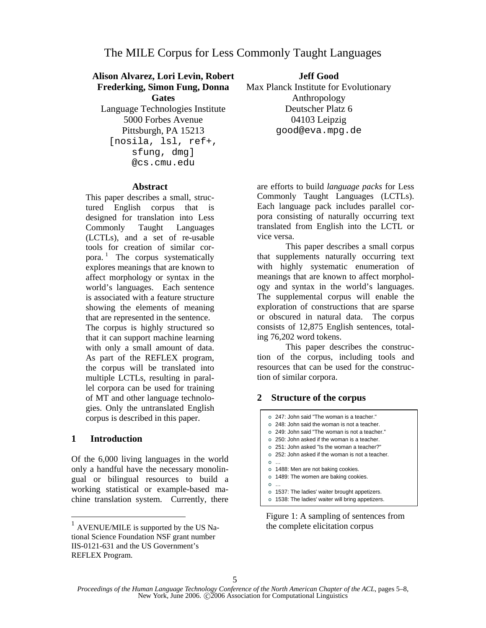# **Alison Alvarez, Lori Levin, Robert**

**Frederking, Simon Fung, Donna Gates**  Language Technologies Institute 5000 Forbes Avenue Pittsburgh, PA 15213 [nosila, lsl, ref+, sfung, dmg] @cs.cmu.edu

## **Jeff Good**

Max Planck Institute for Evolutionary Anthropology Deutscher Platz 6 04103 Leipzig good@eva.mpg.de

#### **Abstract**

This paper describes a small, structured English corpus that is designed for translation into Less Commonly Taught Languages (LCTLs), and a set of re-usable tools for creation of similar corpora.<sup>1</sup> The corpus systematically explores meanings that are known to affect morphology or syntax in the world's languages. Each sentence is associated with a feature structure showing the elements of meaning that are represented in the sentence. The corpus is highly structured so that it can support machine learning with only a small amount of data. As part of the REFLEX program, the corpus will be translated into multiple LCTLs, resulting in parallel corpora can be used for training of MT and other language technologies. Only the untranslated English corpus is described in this paper.

### **1 Introduction**

 $\overline{a}$ 

Of the 6,000 living languages in the world only a handful have the necessary monolingual or bilingual resources to build a working statistical or example-based machine translation system. Currently, there are efforts to build *language packs* for Less Commonly Taught Languages (LCTLs). Each language pack includes parallel corpora consisting of naturally occurring text translated from English into the LCTL or vice versa.

This paper describes a small corpus that supplements naturally occurring text with highly systematic enumeration of meanings that are known to affect morphology and syntax in the world's languages. The supplemental corpus will enable the exploration of constructions that are sparse or obscured in natural data. The corpus consists of 12,875 English sentences, totaling 76,202 word tokens.

This paper describes the construction of the corpus, including tools and resources that can be used for the construction of similar corpora.

### **2 Structure of the corpus**

| 247: John said "The woman is a teacher." o 248: John said the woman is not a teacher. | 249: John said "The woman is not a teacher." | 250: John asked if the woman is a teacher. | 251: John asked "Is the woman a teacher?" | 252: John asked if the woman is not a teacher.  $\circ$  … o 1488: Men are not baking cookies. o 1489: The women are baking cookies.  $\circ$  … o 1537: The ladies' waiter brought appetizers.

o 1538: The ladies' waiter will bring appetizers.

Figure 1: A sampling of sentences from the complete elicitation corpus

 $<sup>1</sup>$  AVENUE/MILE is supported by the US Na-</sup> tional Science Foundation NSF grant number IIS-0121-631 and the US Government's REFLEX Program.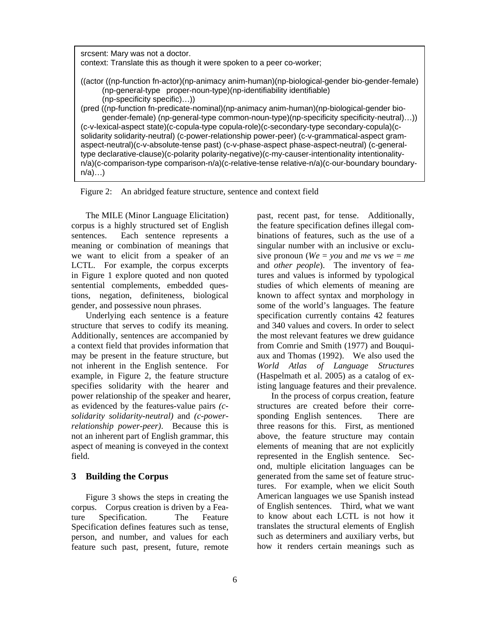srcsent: Mary was not a doctor. context: Translate this as though it were spoken to a peer co-worker; ((actor ((np-function fn-actor)(np-animacy anim-human)(np-biological-gender bio-gender-female) (np-general-type proper-noun-type)(np-identifiability identifiable) (np-specificity specific)…)) (pred ((np-function fn-predicate-nominal)(np-animacy anim-human)(np-biological-gender biogender-female) (np-general-type common-noun-type)(np-specificity specificity-neutral)…)) (c-v-lexical-aspect state)(c-copula-type copula-role)(c-secondary-type secondary-copula)(csolidarity solidarity-neutral) (c-power-relationship power-peer) (c-v-grammatical-aspect gramaspect-neutral)(c-v-absolute-tense past) (c-v-phase-aspect phase-aspect-neutral) (c-generaltype declarative-clause)(c-polarity polarity-negative)(c-my-causer-intentionality intentionalityn/a)(c-comparison-type comparison-n/a)(c-relative-tense relative-n/a)(c-our-boundary boundary $n/a)$ ...

Figure 2: An abridged feature structure, sentence and context field

The MILE (Minor Language Elicitation) corpus is a highly structured set of English sentences. Each sentence represents a meaning or combination of meanings that we want to elicit from a speaker of an LCTL. For example, the corpus excerpts in Figure 1 explore quoted and non quoted sentential complements, embedded questions, negation, definiteness, biological gender, and possessive noun phrases.

Underlying each sentence is a feature structure that serves to codify its meaning. Additionally, sentences are accompanied by a context field that provides information that may be present in the feature structure, but not inherent in the English sentence. For example, in Figure 2, the feature structure specifies solidarity with the hearer and power relationship of the speaker and hearer, as evidenced by the features-value pairs *(csolidarity solidarity-neutral)* and *(c-powerrelationship power-peer)*. Because this is not an inherent part of English grammar, this aspect of meaning is conveyed in the context field.

### **3 Building the Corpus**

Figure 3 shows the steps in creating the corpus. Corpus creation is driven by a Feature Specification. The Feature Specification defines features such as tense, person, and number, and values for each feature such past, present, future, remote past, recent past, for tense. Additionally, the feature specification defines illegal combinations of features, such as the use of a singular number with an inclusive or exclusive pronoun ( $We = you$  and *me* vs  $we = me$ and *other people*). The inventory of features and values is informed by typological studies of which elements of meaning are known to affect syntax and morphology in some of the world's languages. The feature specification currently contains 42 features and 340 values and covers. In order to select the most relevant features we drew guidance from Comrie and Smith (1977) and Bouquiaux and Thomas (1992). We also used the *World Atlas of Language Structures* (Haspelmath et al. 2005) as a catalog of existing language features and their prevalence.

In the process of corpus creation, feature structures are created before their corresponding English sentences. There are three reasons for this. First, as mentioned above, the feature structure may contain elements of meaning that are not explicitly represented in the English sentence. Second, multiple elicitation languages can be generated from the same set of feature structures. For example, when we elicit South American languages we use Spanish instead of English sentences. Third, what we want to know about each LCTL is not how it translates the structural elements of English such as determiners and auxiliary verbs, but how it renders certain meanings such as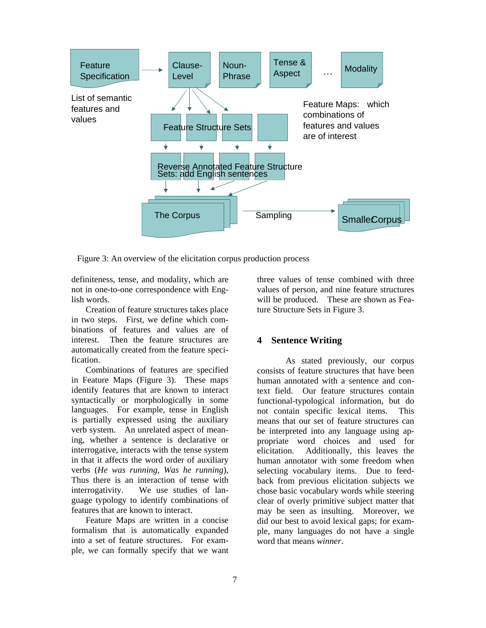

Figure 3: An overview of the elicitation corpus production process

definiteness, tense, and modality, which are not in one-to-one correspondence with English words.

Creation of feature structures takes place in two steps. First, we define which combinations of features and values are of interest. Then the feature structures are automatically created from the feature specification.

Combinations of features are specified in Feature Maps (Figure 3). These maps identify features that are known to interact syntactically or morphologically in some languages. For example, tense in English is partially expressed using the auxiliary verb system. An unrelated aspect of meaning, whether a sentence is declarative or interrogative, interacts with the tense system in that it affects the word order of auxiliary verbs (*He was running, Was he running*), Thus there is an interaction of tense with interrogativity. We use studies of language typology to identify combinations of features that are known to interact.

Feature Maps are written in a concise formalism that is automatically expanded into a set of feature structures. For example, we can formally specify that we want three values of tense combined with three values of person, and nine feature structures will be produced. These are shown as Feature Structure Sets in Figure 3.

### **4 Sentence Writing**

 As stated previously, our corpus consists of feature structures that have been human annotated with a sentence and context field. Our feature structures contain functional-typological information, but do not contain specific lexical items. This means that our set of feature structures can be interpreted into any language using appropriate word choices and used for elicitation. Additionally, this leaves the human annotator with some freedom when selecting vocabulary items. Due to feedback from previous elicitation subjects we chose basic vocabulary words while steering clear of overly primitive subject matter that may be seen as insulting. Moreover, we did our best to avoid lexical gaps; for example, many languages do not have a single word that means *winner*.